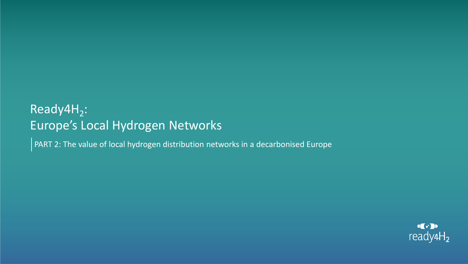# Ready4H<sub>2</sub>: Europe's Local Hydrogen Networks

PART 2: The value of local hydrogen distribution networks in a decarbonised Europe

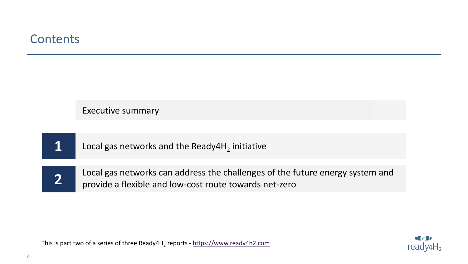# **Contents**

| Executive summary                                                                                                                       |
|-----------------------------------------------------------------------------------------------------------------------------------------|
|                                                                                                                                         |
| Local gas networks and the Ready4H <sub>2</sub> initiative                                                                              |
|                                                                                                                                         |
| Local gas networks can address the challenges of the future energy system and<br>provide a flexible and low-cost route towards net-zero |
|                                                                                                                                         |

 $\left(\cdot\right)$  $ready4H<sub>2</sub>$ 

This is part two of a series of three Ready4H<sub>2</sub> reports - <u>[https://www.ready4h2.com](https://www.ready4h2.com/)</u>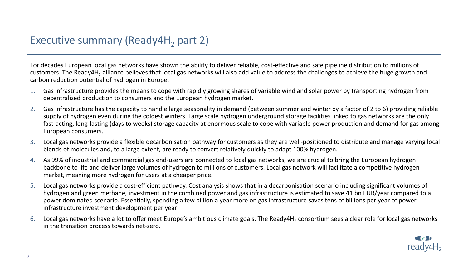For decades European local gas networks have shown the ability to deliver reliable, cost-effective and safe pipeline distribution to millions of customers. The Ready4H<sub>2</sub> alliance believes that local gas networks will also add value to address the challenges to achieve the huge growth and carbon reduction potential of hydrogen in Europe.

- 1. Gas infrastructure provides the means to cope with rapidly growing shares of variable wind and solar power by transporting hydrogen from decentralized production to consumers and the European hydrogen market.
- 2. Gas infrastructure has the capacity to handle large seasonality in demand (between summer and winter by a factor of 2 to 6) providing reliable supply of hydrogen even during the coldest winters. Large scale hydrogen underground storage facilities linked to gas networks are the only fast-acting, long-lasting (days to weeks) storage capacity at enormous scale to cope with variable power production and demand for gas among European consumers.
- 3. Local gas networks provide a flexible decarbonisation pathway for customers as they are well-positioned to distribute and manage varying local blends of molecules and, to a large extent, are ready to convert relatively quickly to adapt 100% hydrogen.
- 4. As 99% of industrial and commercial gas end-users are connected to local gas networks, we are crucial to bring the European hydrogen backbone to life and deliver large volumes of hydrogen to millions of customers. Local gas network will facilitate a competitive hydrogen market, meaning more hydrogen for users at a cheaper price.
- 5. Local gas networks provide a cost-efficient pathway. Cost analysis shows that in a decarbonisation scenario including significant volumes of hydrogen and green methane, investment in the combined power and gas infrastructure is estimated to save 41 bn EUR/year compared to a power dominated scenario. Essentially, spending a few billion a year more on gas infrastructure saves tens of billions per year of power infrastructure investment development per year
- 6. Local gas networks have a lot to offer meet Europe's ambitious climate goals. The Ready4H<sub>2</sub> consortium sees a clear role for local gas networks in the transition process towards net-zero.

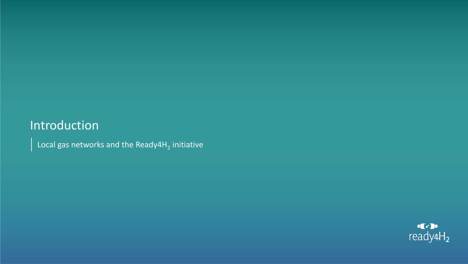# Introduction

Local gas networks and the Ready4H<sub>2</sub> initiative

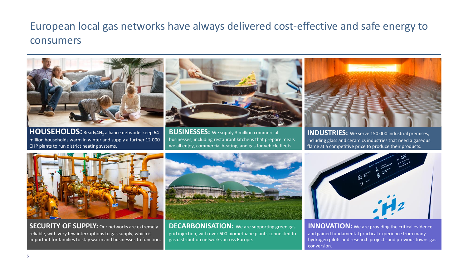# European local gas networks have always delivered cost-effective and safe energy to consumers



**HOUSEHOLDS:** Ready4H<sub>2</sub> alliance networks keep 64 million households warm in winter and supply a further 12 000 CHP plants to run district heating systems.

**BUSINESSES:** We supply 3 million commercial businesses, including restaurant kitchens that prepare meals we all enjoy, commercial heating, and gas for vehicle fleets.

**INDUSTRIES:** We serve 150 000 industrial premises, including glass and ceramics industries that need a gaseous flame at a competitive price to produce their products.



**SECURITY OF SUPPLY:** Our networks are extremely reliable, with very few interruptions to gas supply, which is important for families to stay warm and businesses to function.



**DECARBONISATION:** We are supporting green gas grid injection, with over 600 biomethane plants connected to gas distribution networks across Europe.



**INNOVATION:** We are providing the critical evidence and gained fundamental practical experience from many hydrogen pilots and research projects and previous towns gas conversion.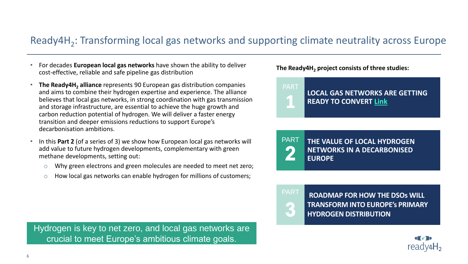# Ready4H<sub>2</sub>: Transforming local gas networks and supporting climate neutrality across Europe

- For decades **European local gas networks** have shown the ability to deliver cost-effective, reliable and safe pipeline gas distribution
- **The Ready4H<sup>2</sup> alliance** represents 90 European gas distribution companies and aims to combine their hydrogen expertise and experience. The alliance believes that local gas networks, in strong coordination with gas transmission and storage infrastructure, are essential to achieve the huge growth and carbon reduction potential of hydrogen. We will deliver a faster energy transition and deeper emissions reductions to support Europe's decarbonisation ambitions.
- In this **Part 2** (of a series of 3) we show how European local gas networks will add value to future hydrogen developments, complementary with green methane developments, setting out:
	- o Why green electrons and green molecules are needed to meet net zero;
	- o How local gas networks can enable hydrogen for millions of customers;

Hydrogen is key to net zero, and local gas networks are crucial to meet Europe's ambitious climate goals.

**The Ready4H<sup>2</sup> project consists of three studies:**



PART **THE VALUE OF LOCAL HYDROGEN NETWORKS IN A DECARBONISED**   $\overline{\mathcal{L}}$ **EUROPE**



PART **ROADMAP FOR HOW THE DSOs WILL TRANSFORM INTO EUROPE's PRIMARY HYDROGEN DISTRIBUTION**

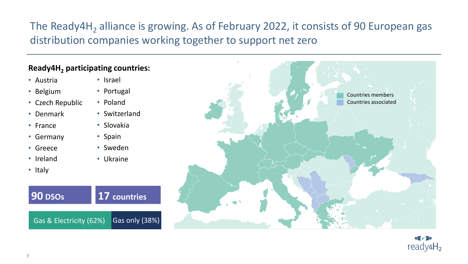# The Ready4H<sub>2</sub> alliance is growing. As of February 2022, it consists of 90 European gas distribution companies working together to support net zero

## **Ready4H<sup>2</sup> participating countries:**

- Austria
- Belgium
- Czech Republic
- Denmark
- France
- Germany
- Greece
- Ireland
- Italy
- Israel
- Portugal
- Poland
- Switzerland
- Slovakia
- Spain
- Sweden
- Ukraine





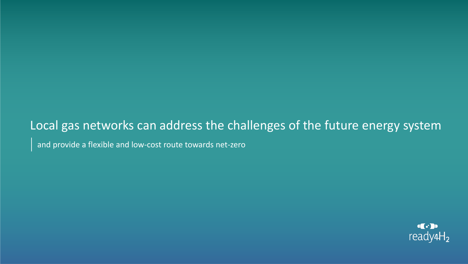# Local gas networks can address the challenges of the future energy system

and provide a flexible and low-cost route towards net-zero

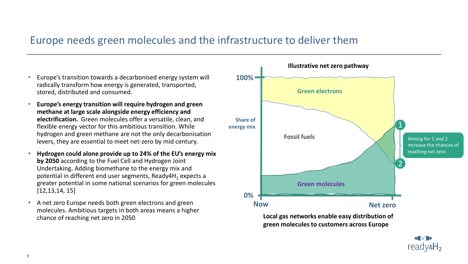## Europe needs green molecules and the infrastructure to deliver them

- Europe's transition towards a decarbonised energy system will radically transform how energy is generated, transported, stored, distributed and consumed.
- **Europe's energy transition will require hydrogen and green methane at large scale alongside energy efficiency and electrification.** Green molecules offer a versatile, clean, and flexible energy vector for this ambitious transition. While hydrogen and green methane are not the only decarbonisation levers, they are essential to meet net-zero by mid century.
- **Hydrogen could alone provide up to 24% of the EU's energy mix by 2050** according to the Fuel Cell and Hydrogen Joint Undertaking**.** Adding biomethane to the energy mix and potential in different end user segments, Ready4H<sub>2</sub> expects a greater potential in some national scenarios for green molecules [12,13,14, 15]
- A net zero Europe needs both green electrons and green molecules. Ambitious targets in both areas means a higher chance of reaching net zero in 2050

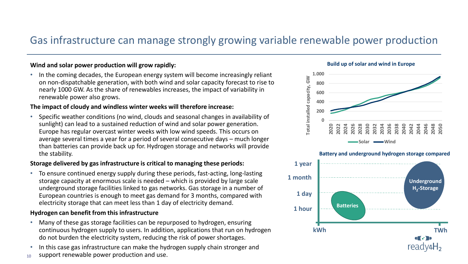## Gas infrastructure can manage strongly growing variable renewable power production

## **Wind and solar power production will grow rapidly:**

• In the coming decades, the European energy system will become increasingly reliant on non-dispatchable generation, with both wind and solar capacity forecast to rise to nearly 1000 GW. As the share of renewables increases, the impact of variability in renewable power also grows.

#### **The impact of cloudy and windless winter weeks will therefore increase:**

• Specific weather conditions (no wind, clouds and seasonal changes in availability of sunlight) can lead to a sustained reduction of wind and solar power generation. Europe has regular overcast winter weeks with low wind speeds. This occurs on average several times a year for a period of several consecutive days – much longer than batteries can provide back up for. Hydrogen storage and networks will provide the stability.

## **Storage delivered by gas infrastructure is critical to managing these periods:**

• To ensure continued energy supply during these periods, fast-acting, long-lasting storage capacity at enormous scale is needed – which is provided by large scale underground storage facilities linked to gas networks. Gas storage in a number of European countries is enough to meet gas demand for 3 months, compared with electricity storage that can meet less than 1 day of electricity demand.

## **Hydrogen can benefit from this infrastructure**

- Many of these gas storage facilities can be repurposed to hydrogen, ensuring continuous hydrogen supply to users. In addition, applications that run on hydrogen do not burden the electricity system, reducing the risk of power shortages.
- In this case gas infrastructure can make the hydrogen supply chain stronger and
- 10 support renewable power production and use.





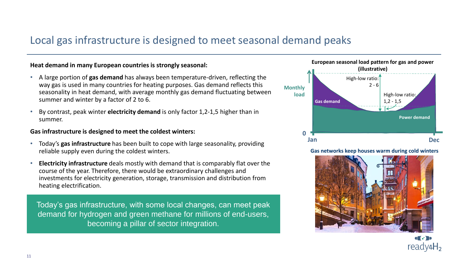## Local gas infrastructure is designed to meet seasonal demand peaks

#### **Heat demand in many European countries is strongly seasonal:**

- A large portion of **gas demand** has always been temperature-driven, reflecting the way gas is used in many countries for heating purposes. Gas demand reflects this seasonality in heat demand, with average monthly gas demand fluctuating between summer and winter by a factor of 2 to 6.
- By contrast, peak winter **electricity demand** is only factor 1,2-1,5 higher than in summer.

## **Gas infrastructure is designed to meet the coldest winters:**

- Today's **gas infrastructure** has been built to cope with large seasonality, providing reliable supply even during the coldest winters.
- **Electricity infrastructure** deals mostly with demand that is comparably flat over the course of the year. Therefore, there would be extraordinary challenges and investments for electricity generation, storage, transmission and distribution from heating electrification.

Today's gas infrastructure, with some local changes, can meet peak demand for hydrogen and green methane for millions of end-users, becoming a pillar of sector integration.



**Gas networks keep houses warm during cold winters**



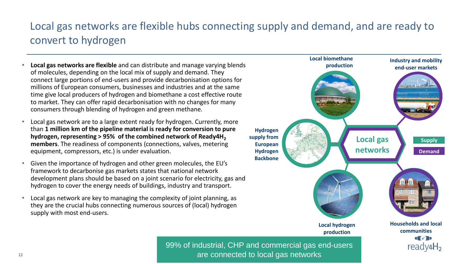# Local gas networks are flexible hubs connecting supply and demand, and are ready to convert to hydrogen

- **Local gas networks are flexible** and can distribute and manage varying blends of molecules, depending on the local mix of supply and demand. They connect large portions of end-users and provide decarbonisation options for millions of European consumers, businesses and industries and at the same time give local producers of hydrogen and biomethane a cost effective route to market. They can offer rapid decarbonisation with no changes for many consumers through blending of hydrogen and green methane.
- Local gas network are to a large extent ready for hydrogen. Currently, more than **1 million km of the pipeline material is ready for conversion to pure hydrogen, representing > 95% of the combined network of Ready4H<sup>2</sup> members**. The readiness of components (connections, valves, metering equipment, compressors, etc.) is under evaluation.
- Given the importance of hydrogen and other green molecules, the EU's framework to decarbonise gas markets states that national network development plans should be based on a joint scenario for electricity, gas and hydrogen to cover the energy needs of buildings, industry and transport.
- Local gas network are key to managing the complexity of joint planning, as they are the crucial hubs connecting numerous sources of (local) hydrogen supply with most end-users.



99% of industrial, CHP and commercial gas end-users are connected to local gas networks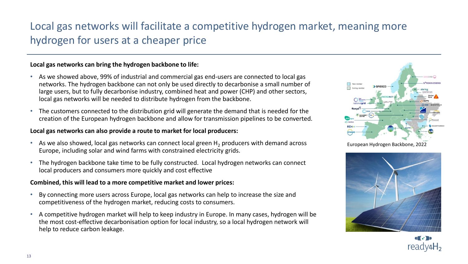# Local gas networks will facilitate a competitive hydrogen market, meaning more hydrogen for users at a cheaper price

## **Local gas networks can bring the hydrogen backbone to life:**

- As we showed above, 99% of industrial and commercial gas end-users are connected to local gas networks. The hydrogen backbone can not only be used directly to decarbonise a small number of large users, but to fully decarbonise industry, combined heat and power (CHP) and other sectors, local gas networks will be needed to distribute hydrogen from the backbone.
- The customers connected to the distribution grid will generate the demand that is needed for the creation of the European hydrogen backbone and allow for transmission pipelines to be converted.

#### **Local gas networks can also provide a route to market for local producers:**

- As we also showed, local gas networks can connect local green  $H<sub>2</sub>$  producers with demand across Europe, including solar and wind farms with constrained electricity grids.
- The hydrogen backbone take time to be fully constructed. Local hydrogen networks can connect local producers and consumers more quickly and cost effective

## **Combined, this will lead to a more competitive market and lower prices:**

- By connecting more users across Europe, local gas networks can help to increase the size and competitiveness of the hydrogen market, reducing costs to consumers.
- A competitive hydrogen market will help to keep industry in Europe. In many cases, hydrogen will be the most cost-effective decarbonisation option for local industry, so a local hydrogen network will help to reduce carbon leakage.



European Hydrogen Backbone, 2022



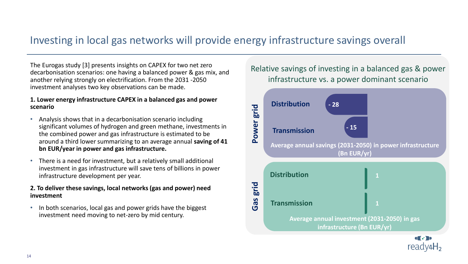## Investing in local gas networks will provide energy infrastructure savings overall

The Eurogas study [3] presents insights on CAPEX for two net zero decarbonisation scenarios: one having a balanced power & gas mix, and another relying strongly on electrification. From the 2031 -2050 investment analyses two key observations can be made.

#### **1. Lower energy infrastructure CAPEX in a balanced gas and power scenario**

- Analysis shows that in a decarbonisation scenario including significant volumes of hydrogen and green methane, investments in the combined power and gas infrastructure is estimated to be around a third lower summarizing to an average annual **saving of 41 bn EUR/year in power and gas infrastructure.**
- There is a need for investment, but a relatively small additional investment in gas infrastructure will save tens of billions in power infrastructure development per year.

## **2. To deliver these savings, local networks (gas and power) need investment**

• In both scenarios, local gas and power grids have the biggest investment need moving to net-zero by mid century.

Relative savings of investing in a balanced gas & power infrastructure vs. a power dominant scenario



14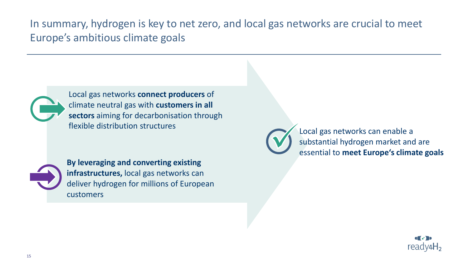In summary, hydrogen is key to net zero, and local gas networks are crucial to meet Europe's ambitious climate goals



Local gas networks **connect producers** of climate neutral gas with **customers in all sectors** aiming for decarbonisation through flexible distribution structures



**By leveraging and converting existing infrastructures,** local gas networks can deliver hydrogen for millions of European customers



Local gas networks can enable a substantial hydrogen market and are essential to **meet Europe's climate goals**

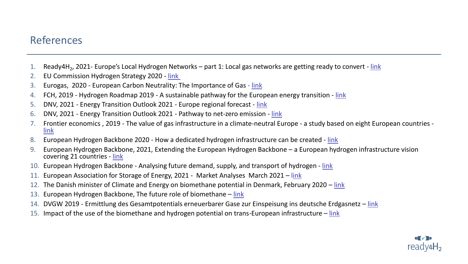## References

- 1. Ready4H<sub>2</sub>, 2021- Europe's Local Hydrogen Networks part 1: Local gas networks are getting ready to convert <u>[link](https://eb5975f8-5cbd-4d21-acbb-0659ae5959ad.filesusr.com/ugd/597932_bcbe101b84834beab52da207aa89d5e6.pdf)</u>
- 2. EU Commission Hydrogen Strategy 2020 [link](https://ec.europa.eu/energy/sites/ener/files/hydrogen_strategy.pdf)
- 3. Eurogas, 2020 European Carbon Neutrality: The Importance of Gas [link](https://eurogas.org/website/wp-content/uploads/2020/06/DNV-GL-Eurogas-Report-Reaching-European-Carbon-Neutrality-Full-Report.pdf)
- 4. FCH, 2019 Hydrogen Roadmap 2019 A sustainable pathway for the European energy transition [link](https://www.fch.europa.eu/sites/default/files/Hydrogen%20Roadmap%20Europe_Report.pdf)
- 5. DNV, 2021 Energy Transition Outlook 2021 Europe regional forecast [link](https://eto.dnv.com/2021/highlights/energy-transition-outlook#eto-highlights)
- 6. DNV, 2021 Energy Transition Outlook 2021 Pathway to net-zero emission [link](https://eto.dnv.com/2021/highlights/pathway-to-net-zero)
- 7. Frontier economics , 2019 The value of gas infrastructure in a climate-neutral Europe a study based on eight European countries [link](https://www.frontier-economics.com/media/3120/value-of-gas-infrastructure-report.pdf)
- 8. European Hydrogen Backbone 2020 How a dedicated hydrogen infrastructure can be created [link](ttps://gasforclimate2050.eu/sdm_downloads/european-hydrogen-backbone/)
- 9. European Hydrogen Backbone, 2021, Extending the European Hydrogen Backbone a European hydrogen infrastructure vision covering 21 countries - [link](https://gasforclimate2050.eu/wp-content/uploads/2021/06/European-Hydrogen-Backbone_April-2021_V3.pdf)
- 10. European Hydrogen Backbone Analysing future demand, supply, and transport of hydrogen [link](https://gasforclimate2050.eu/wp-content/uploads/2021/06/EHB_Analysing-the-future-demand-supply-and-transport-of-hydrogen_June-2021_v3.pdf)
- 11. European Association for Storage of Energy, 2021 Market Analyses March 2021 l[ink](https://ease-storage.eu/publications/market-analyses/)
- 12. The Danish minister of Climate and Energy on biomethane potential in Denmark, February 2020 l[ink](https://www.altinget.dk/forsyning/artikel/dan-joergensen-om-kritik-af-gasledning-det-er-simpelthen-ikke-rigtigt)
- 13. European Hydrogen Backbone, The future role of biomethane [link](https://gasforclimate2050.eu/wp-content/uploads/2021/12/The_future_role_of_biomethane-December_2021.pdf)
- 14. DVGW 2019 Ermittlung des Gesamtpotentials erneuerbarer Gase zur Einspeisung ins deutsche Erdgasnetz [link](https://www.dvgw.de/medien/dvgw/forschung/berichte/pi-dvgw-anhang_dvgw-forschung_g-201710_ee-gase-gesamtpotenzial_abschlussbericht.pdf)
- 15. Impact of the use of the biomethane and hydrogen potential on trans-European infrastructure [link](https://op.europa.eu/en/publication-detail/-/publication/10e93b15-8b56-11ea-812f-01aa75ed71a1/language-en)